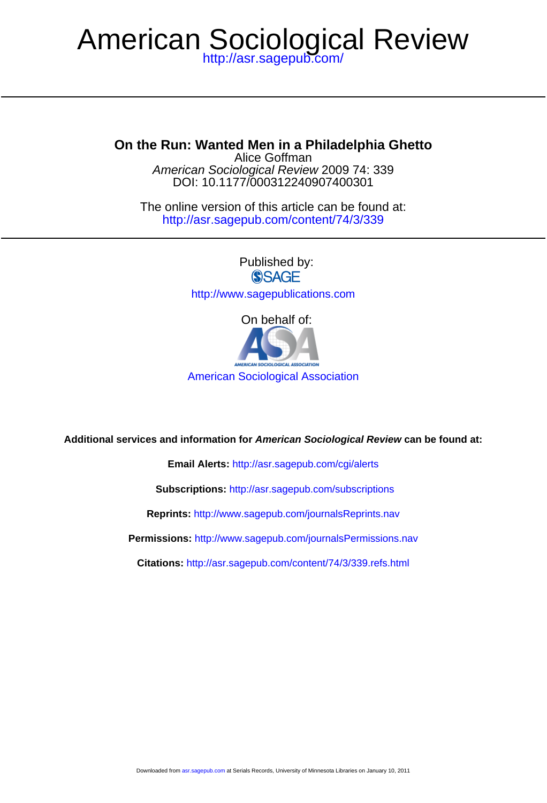## <http://asr.sagepub.com/> American Sociological Review

## **On the Run: Wanted Men in a Philadelphia Ghetto**

DOI: 10.1177/000312240907400301 American Sociological Review 2009 74: 339 Alice Goffman

<http://asr.sagepub.com/content/74/3/339> The online version of this article can be found at:

> Published by: **SSAGE** <http://www.sagepublications.com> On behalf of:



**Additional services and information for American Sociological Review can be found at:**

**Email Alerts:** <http://asr.sagepub.com/cgi/alerts>

**Subscriptions:** <http://asr.sagepub.com/subscriptions>

**Reprints:** <http://www.sagepub.com/journalsReprints.nav>

**Permissions:** <http://www.sagepub.com/journalsPermissions.nav>

**Citations:** <http://asr.sagepub.com/content/74/3/339.refs.html>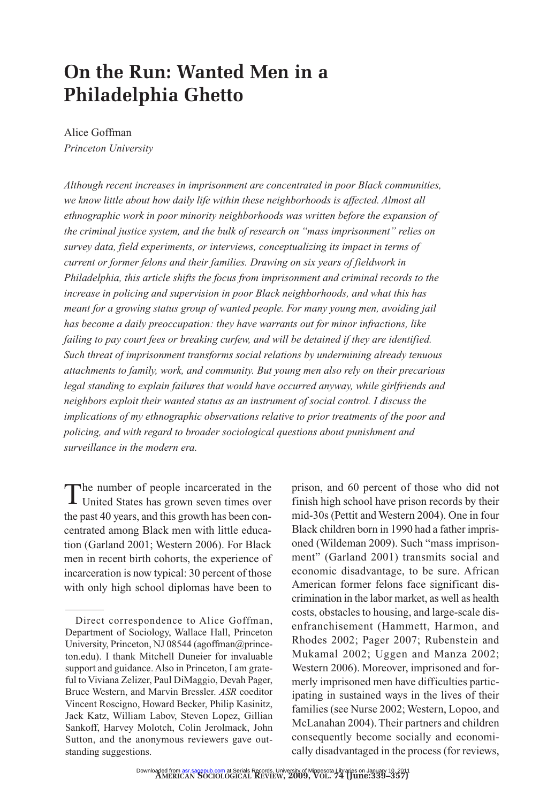# **On the Run: Wanted Men in a Philadelphia Ghetto**

Alice Goffman *Princeton University*

*Although recent increases in imprisonment are concentrated in poor Black communities, we know little about how daily life within these neighborhoods is affected. Almost all ethnographic work in poor minority neighborhoods was written before the expansion of the criminal justice system, and the bulk of research on "mass imprisonment" relies on survey data, field experiments, or interviews, conceptualizing its impact in terms of current or former felons and their families. Drawing on six years of fieldwork in Philadelphia, this article shifts the focus from imprisonment and criminal records to the increase in policing and supervision in poor Black neighborhoods, and what this has meant for a growing status group of wanted people. For many young men, avoiding jail has become a daily preoccupation: they have warrants out for minor infractions, like failing to pay court fees or breaking curfew, and will be detained if they are identified. Such threat of imprisonment transforms social relations by undermining already tenuous attachments to family, work, and community. But young men also rely on their precarious legal standing to explain failures that would have occurred anyway, while girlfriends and neighbors exploit their wanted status as an instrument of social control. I discuss the implications of my ethnographic observations relative to prior treatments of the poor and policing, and with regard to broader sociological questions about punishment and surveillance in the modern era.*

The number of people incarcerated in the United States has grown seven times over the past 40 years, and this growth has been concentrated among Black men with little education (Garland 2001; Western 2006). For Black men in recent birth cohorts, the experience of incarceration is now typical: 30 percent of those with only high school diplomas have been to

prison, and 60 percent of those who did not finish high school have prison records by their mid-30s (Pettit and Western 2004). One in four Black children born in 1990 had a father imprisoned (Wildeman 2009). Such "mass imprisonment" (Garland 2001) transmits social and economic disadvantage, to be sure. African American former felons face significant discrimination in the labor market, as well as health costs, obstacles to housing, and large-scale disenfranchisement (Hammett, Harmon, and Rhodes 2002; Pager 2007; Rubenstein and Mukamal 2002; Uggen and Manza 2002; Western 2006). Moreover, imprisoned and formerly imprisoned men have difficulties participating in sustained ways in the lives of their families (see Nurse 2002; Western, Lopoo, and McLanahan 2004). Their partners and children consequently become socially and economically disadvantaged in the process (for reviews,

Direct correspondence to Alice Goffman, Department of Sociology, Wallace Hall, Princeton University, Princeton, NJ 08544 (agoffman@princeton.edu). I thank Mitchell Duneier for invaluable support and guidance. Also in Princeton, I am grateful to Viviana Zelizer, Paul DiMaggio, Devah Pager, Bruce Western, and Marvin Bressler. *ASR* coeditor Vincent Roscigno, Howard Becker, Philip Kasinitz, Jack Katz, William Labov, Steven Lopez, Gillian Sankoff, Harvey Molotch, Colin Jerolmack, John Sutton, and the anonymous reviewers gave outstanding suggestions.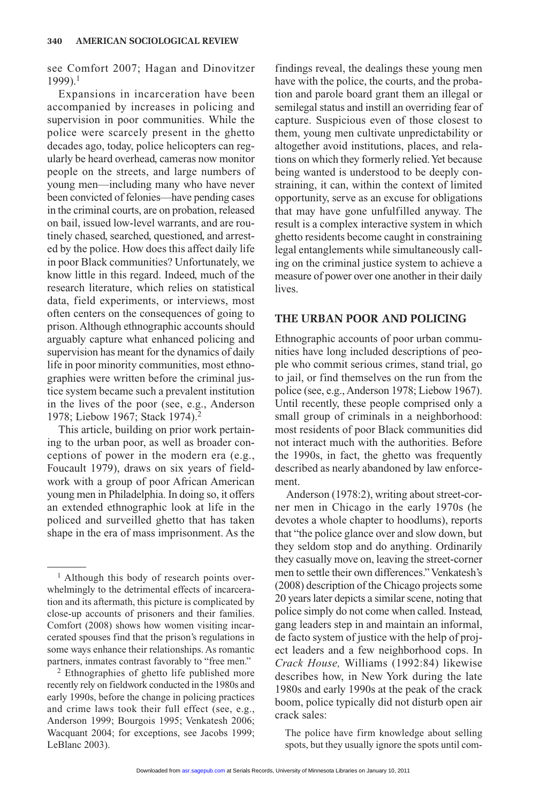see Comfort 2007; Hagan and Dinovitzer  $1999$ ).<sup>1</sup>

Expansions in incarceration have been accompanied by increases in policing and supervision in poor communities. While the police were scarcely present in the ghetto decades ago, today, police helicopters can regularly be heard overhead, cameras now monitor people on the streets, and large numbers of young men—including many who have never been convicted of felonies—have pending cases in the criminal courts, are on probation, released on bail, issued low-level warrants, and are routinely chased, searched, questioned, and arrested by the police. How does this affect daily life in poor Black communities? Unfortunately, we know little in this regard. Indeed, much of the research literature, which relies on statistical data, field experiments, or interviews, most often centers on the consequences of going to prison. Although ethnographic accounts should arguably capture what enhanced policing and supervision has meant for the dynamics of daily life in poor minority communities, most ethnographies were written before the criminal justice system became such a prevalent institution in the lives of the poor (see, e.g., Anderson 1978; Liebow 1967; Stack 1974).<sup>2</sup>

This article, building on prior work pertaining to the urban poor, as well as broader conceptions of power in the modern era (e.g., Foucault 1979), draws on six years of fieldwork with a group of poor African American young men in Philadelphia. In doing so, it offers an extended ethnographic look at life in the policed and surveilled ghetto that has taken shape in the era of mass imprisonment. As the

<sup>2</sup> Ethnographies of ghetto life published more recently rely on fieldwork conducted in the 1980s and early 1990s, before the change in policing practices and crime laws took their full effect (see, e.g., Anderson 1999; Bourgois 1995; Venkatesh 2006; Wacquant 2004; for exceptions, see Jacobs 1999; LeBlanc 2003).

findings reveal, the dealings these young men have with the police, the courts, and the probation and parole board grant them an illegal or semilegal status and instill an overriding fear of capture. Suspicious even of those closest to them, young men cultivate unpredictability or altogether avoid institutions, places, and relations on which they formerly relied. Yet because being wanted is understood to be deeply constraining, it can, within the context of limited opportunity, serve as an excuse for obligations that may have gone unfulfilled anyway. The result is a complex interactive system in which ghetto residents become caught in constraining legal entanglements while simultaneously calling on the criminal justice system to achieve a measure of power over one another in their daily lives.

#### **THE URBAN POOR AND POLICING**

Ethnographic accounts of poor urban communities have long included descriptions of people who commit serious crimes, stand trial, go to jail, or find themselves on the run from the police (see, e.g., Anderson 1978; Liebow 1967). Until recently, these people comprised only a small group of criminals in a neighborhood: most residents of poor Black communities did not interact much with the authorities. Before the 1990s, in fact, the ghetto was frequently described as nearly abandoned by law enforcement.

Anderson (1978:2), writing about street-corner men in Chicago in the early 1970s (he devotes a whole chapter to hoodlums), reports that "the police glance over and slow down, but they seldom stop and do anything. Ordinarily they casually move on, leaving the street-corner men to settle their own differences." Venkatesh's (2008) description of the Chicago projects some 20 years later depicts a similar scene, noting that police simply do not come when called. Instead, gang leaders step in and maintain an informal, de facto system of justice with the help of project leaders and a few neighborhood cops. In *Crack House,* Williams (1992:84) likewise describes how, in New York during the late 1980s and early 1990s at the peak of the crack boom, police typically did not disturb open air crack sales:

The police have firm knowledge about selling spots, but they usually ignore the spots until com-

<sup>&</sup>lt;sup>1</sup> Although this body of research points overwhelmingly to the detrimental effects of incarceration and its aftermath, this picture is complicated by close-up accounts of prisoners and their families. Comfort (2008) shows how women visiting incarcerated spouses find that the prison's regulations in some ways enhance their relationships. As romantic partners, inmates contrast favorably to "free men."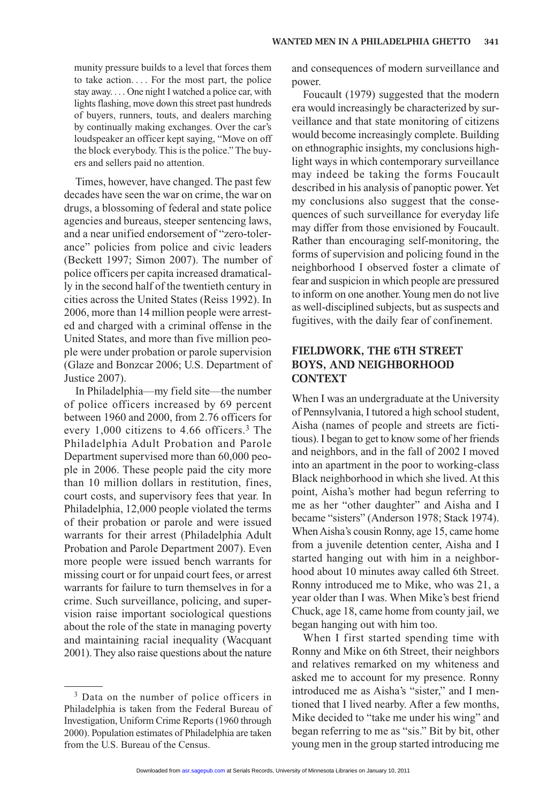munity pressure builds to a level that forces them to take action.... For the most part, the police stay away.... One night I watched a police car, with lights flashing, move down this street past hundreds of buyers, runners, touts, and dealers marching by continually making exchanges. Over the car's loudspeaker an officer kept saying, "Move on off the block everybody. This is the police." The buyers and sellers paid no attention.

Times, however, have changed. The past few decades have seen the war on crime, the war on drugs, a blossoming of federal and state police agencies and bureaus, steeper sentencing laws, and a near unified endorsement of "zero-tolerance" policies from police and civic leaders (Beckett 1997; Simon 2007). The number of police officers per capita increased dramatically in the second half of the twentieth century in cities across the United States (Reiss 1992). In 2006, more than 14 million people were arrested and charged with a criminal offense in the United States, and more than five million people were under probation or parole supervision (Glaze and Bonzcar 2006; U.S. Department of Justice 2007).

In Philadelphia—my field site—the number of police officers increased by 69 percent between 1960 and 2000, from 2.76 officers for every 1,000 citizens to 4.66 officers.<sup>3</sup> The Philadelphia Adult Probation and Parole Department supervised more than 60,000 people in 2006. These people paid the city more than 10 million dollars in restitution, fines, court costs, and supervisory fees that year. In Philadelphia, 12,000 people violated the terms of their probation or parole and were issued warrants for their arrest (Philadelphia Adult Probation and Parole Department 2007). Even more people were issued bench warrants for missing court or for unpaid court fees, or arrest warrants for failure to turn themselves in for a crime. Such surveillance, policing, and supervision raise important sociological questions about the role of the state in managing poverty and maintaining racial inequality (Wacquant 2001). They also raise questions about the nature and consequences of modern surveillance and power.

Foucault (1979) suggested that the modern era would increasingly be characterized by surveillance and that state monitoring of citizens would become increasingly complete. Building on ethnographic insights, my conclusions highlight ways in which contemporary surveillance may indeed be taking the forms Foucault described in his analysis of panoptic power. Yet my conclusions also suggest that the consequences of such surveillance for everyday life may differ from those envisioned by Foucault. Rather than encouraging self-monitoring, the forms of supervision and policing found in the neighborhood I observed foster a climate of fear and suspicion in which people are pressured to inform on one another. Young men do not live as well-disciplined subjects, but as suspects and fugitives, with the daily fear of confinement.

## **FIELDWORK, THE 6TH STREET BOYS, AND NEIGHBORHOOD CONTEXT**

When I was an undergraduate at the University of Pennsylvania, I tutored a high school student, Aisha (names of people and streets are fictitious). I began to get to know some of her friends and neighbors, and in the fall of 2002 I moved into an apartment in the poor to working-class Black neighborhood in which she lived. At this point, Aisha's mother had begun referring to me as her "other daughter" and Aisha and I became "sisters" (Anderson 1978; Stack 1974). When Aisha's cousin Ronny, age 15, came home from a juvenile detention center, Aisha and I started hanging out with him in a neighborhood about 10 minutes away called 6th Street. Ronny introduced me to Mike, who was 21, a year older than I was. When Mike's best friend Chuck, age 18, came home from county jail, we began hanging out with him too.

When I first started spending time with Ronny and Mike on 6th Street, their neighbors and relatives remarked on my whiteness and asked me to account for my presence. Ronny introduced me as Aisha's "sister," and I mentioned that I lived nearby. After a few months, Mike decided to "take me under his wing" and began referring to me as "sis." Bit by bit, other young men in the group started introducing me

<sup>&</sup>lt;sup>3</sup> Data on the number of police officers in Philadelphia is taken from the Federal Bureau of Investigation, Uniform Crime Reports (1960 through 2000). Population estimates of Philadelphia are taken from the U.S. Bureau of the Census.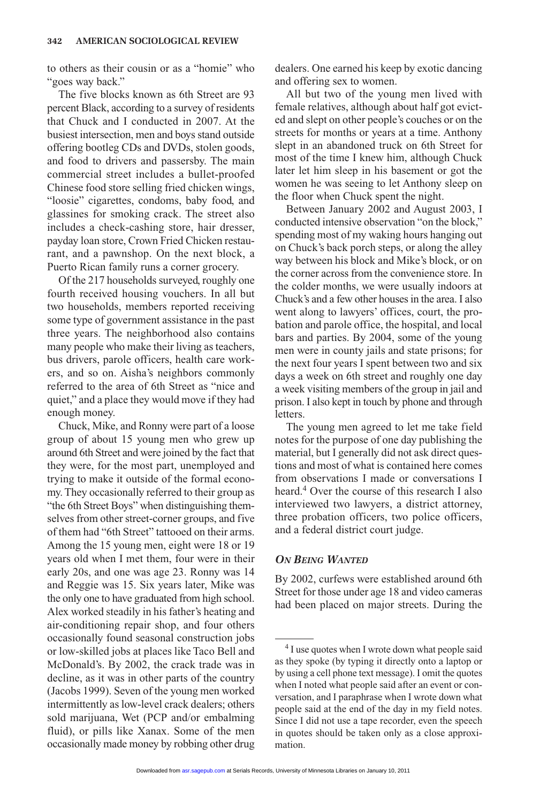to others as their cousin or as a "homie" who "goes way back."

The five blocks known as 6th Street are 93 percent Black, according to a survey of residents that Chuck and I conducted in 2007. At the busiest intersection, men and boys stand outside offering bootleg CDs and DVDs, stolen goods, and food to drivers and passersby. The main commercial street includes a bullet-proofed Chinese food store selling fried chicken wings, "loosie" cigarettes, condoms, baby food, and glassines for smoking crack. The street also includes a check-cashing store, hair dresser, payday loan store, Crown Fried Chicken restaurant, and a pawnshop. On the next block, a Puerto Rican family runs a corner grocery.

Of the 217 households surveyed, roughly one fourth received housing vouchers. In all but two households, members reported receiving some type of government assistance in the past three years. The neighborhood also contains many people who make their living as teachers, bus drivers, parole officers, health care workers, and so on. Aisha's neighbors commonly referred to the area of 6th Street as "nice and quiet," and a place they would move if they had enough money.

Chuck, Mike, and Ronny were part of a loose group of about 15 young men who grew up around 6th Street and were joined by the fact that they were, for the most part, unemployed and trying to make it outside of the formal economy. They occasionally referred to their group as "the 6th Street Boys" when distinguishing themselves from other street-corner groups, and five of them had "6th Street" tattooed on their arms. Among the 15 young men, eight were 18 or 19 years old when I met them, four were in their early 20s, and one was age 23. Ronny was 14 and Reggie was 15. Six years later, Mike was the only one to have graduated from high school. Alex worked steadily in his father's heating and air-conditioning repair shop, and four others occasionally found seasonal construction jobs or low-skilled jobs at places like Taco Bell and McDonald's. By 2002, the crack trade was in decline, as it was in other parts of the country (Jacobs 1999). Seven of the young men worked intermittently as low-level crack dealers; others sold marijuana, Wet (PCP and/or embalming fluid), or pills like Xanax. Some of the men occasionally made money by robbing other drug

dealers. One earned his keep by exotic dancing and offering sex to women.

All but two of the young men lived with female relatives, although about half got evicted and slept on other people's couches or on the streets for months or years at a time. Anthony slept in an abandoned truck on 6th Street for most of the time I knew him, although Chuck later let him sleep in his basement or got the women he was seeing to let Anthony sleep on the floor when Chuck spent the night.

Between January 2002 and August 2003, I conducted intensive observation "on the block," spending most of my waking hours hanging out on Chuck's back porch steps, or along the alley way between his block and Mike's block, or on the corner across from the convenience store. In the colder months, we were usually indoors at Chuck's and a few other houses in the area. I also went along to lawyers' offices, court, the probation and parole office, the hospital, and local bars and parties. By 2004, some of the young men were in county jails and state prisons; for the next four years I spent between two and six days a week on 6th street and roughly one day a week visiting members of the group in jail and prison. I also kept in touch by phone and through letters.

The young men agreed to let me take field notes for the purpose of one day publishing the material, but I generally did not ask direct questions and most of what is contained here comes from observations I made or conversations I heard.4 Over the course of this research I also interviewed two lawyers, a district attorney, three probation officers, two police officers, and a federal district court judge.

#### *ON BEING WANTED*

By 2002, curfews were established around 6th Street for those under age 18 and video cameras had been placed on major streets. During the

<sup>4</sup> I use quotes when I wrote down what people said as they spoke (by typing it directly onto a laptop or by using a cell phone text message). I omit the quotes when I noted what people said after an event or conversation, and I paraphrase when I wrote down what people said at the end of the day in my field notes. Since I did not use a tape recorder, even the speech in quotes should be taken only as a close approximation.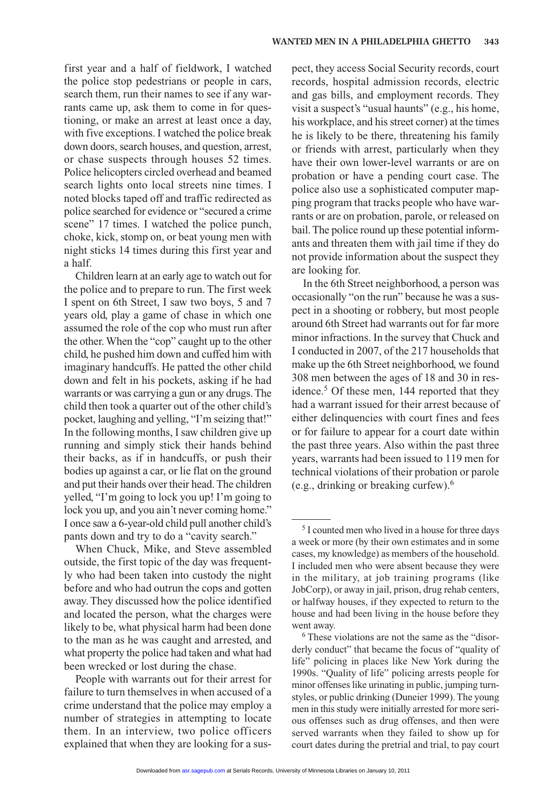first year and a half of fieldwork, I watched the police stop pedestrians or people in cars, search them, run their names to see if any warrants came up, ask them to come in for questioning, or make an arrest at least once a day, with five exceptions. I watched the police break down doors, search houses, and question, arrest, or chase suspects through houses 52 times. Police helicopters circled overhead and beamed search lights onto local streets nine times. I noted blocks taped off and traffic redirected as police searched for evidence or "secured a crime scene" 17 times. I watched the police punch, choke, kick, stomp on, or beat young men with night sticks 14 times during this first year and a half.

Children learn at an early age to watch out for the police and to prepare to run. The first week I spent on 6th Street, I saw two boys, 5 and 7 years old, play a game of chase in which one assumed the role of the cop who must run after the other. When the "cop" caught up to the other child, he pushed him down and cuffed him with imaginary handcuffs. He patted the other child down and felt in his pockets, asking if he had warrants or was carrying a gun or any drugs. The child then took a quarter out of the other child's pocket, laughing and yelling, "I'm seizing that!" In the following months, I saw children give up running and simply stick their hands behind their backs, as if in handcuffs, or push their bodies up against a car, or lie flat on the ground and put their hands over their head. The children yelled, "I'm going to lock you up! I'm going to lock you up, and you ain't never coming home." I once saw a 6-year-old child pull another child's pants down and try to do a "cavity search."

When Chuck, Mike, and Steve assembled outside, the first topic of the day was frequently who had been taken into custody the night before and who had outrun the cops and gotten away. They discussed how the police identified and located the person, what the charges were likely to be, what physical harm had been done to the man as he was caught and arrested, and what property the police had taken and what had been wrecked or lost during the chase.

People with warrants out for their arrest for failure to turn themselves in when accused of a crime understand that the police may employ a number of strategies in attempting to locate them. In an interview, two police officers explained that when they are looking for a suspect, they access Social Security records, court records, hospital admission records, electric and gas bills, and employment records. They visit a suspect's "usual haunts" (e.g., his home, his workplace, and his street corner) at the times he is likely to be there, threatening his family or friends with arrest, particularly when they have their own lower-level warrants or are on probation or have a pending court case. The police also use a sophisticated computer mapping program that tracks people who have warrants or are on probation, parole, or released on bail. The police round up these potential informants and threaten them with jail time if they do not provide information about the suspect they are looking for.

In the 6th Street neighborhood, a person was occasionally "on the run" because he was a suspect in a shooting or robbery, but most people around 6th Street had warrants out for far more minor infractions. In the survey that Chuck and I conducted in 2007, of the 217 households that make up the 6th Street neighborhood, we found 308 men between the ages of 18 and 30 in residence.<sup>5</sup> Of these men, 144 reported that they had a warrant issued for their arrest because of either delinquencies with court fines and fees or for failure to appear for a court date within the past three years. Also within the past three years, warrants had been issued to 119 men for technical violations of their probation or parole (e.g., drinking or breaking curfew).<sup>6</sup>

<sup>5</sup> I counted men who lived in a house for three days a week or more (by their own estimates and in some cases, my knowledge) as members of the household. I included men who were absent because they were in the military, at job training programs (like JobCorp), or away in jail, prison, drug rehab centers, or halfway houses, if they expected to return to the house and had been living in the house before they went away.

<sup>6</sup> These violations are not the same as the "disorderly conduct" that became the focus of "quality of life" policing in places like New York during the 1990s. "Quality of life" policing arrests people for minor offenses like urinating in public, jumping turnstyles, or public drinking (Duneier 1999). The young men in this study were initially arrested for more serious offenses such as drug offenses, and then were served warrants when they failed to show up for court dates during the pretrial and trial, to pay court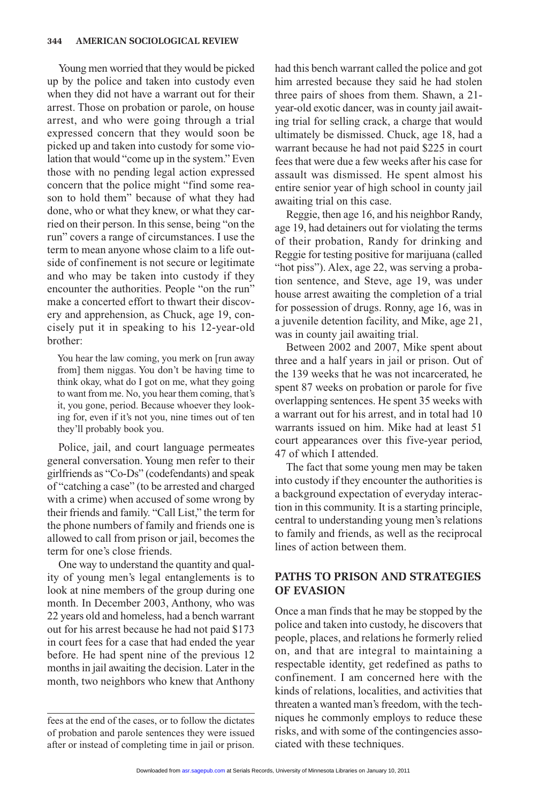Young men worried that they would be picked up by the police and taken into custody even when they did not have a warrant out for their arrest. Those on probation or parole, on house arrest, and who were going through a trial expressed concern that they would soon be picked up and taken into custody for some violation that would "come up in the system." Even those with no pending legal action expressed concern that the police might "find some reason to hold them" because of what they had done, who or what they knew, or what they carried on their person. In this sense, being "on the run" covers a range of circumstances. I use the term to mean anyone whose claim to a life outside of confinement is not secure or legitimate and who may be taken into custody if they encounter the authorities. People "on the run" make a concerted effort to thwart their discovery and apprehension, as Chuck, age 19, concisely put it in speaking to his 12-year-old brother:

You hear the law coming, you merk on [run away from] them niggas. You don't be having time to think okay, what do I got on me, what they going to want from me. No, you hear them coming, that's it, you gone, period. Because whoever they looking for, even if it's not you, nine times out of ten they'll probably book you.

Police, jail, and court language permeates general conversation. Young men refer to their girlfriends as "Co-Ds" (codefendants) and speak of "catching a case" (to be arrested and charged with a crime) when accused of some wrong by their friends and family. "Call List," the term for the phone numbers of family and friends one is allowed to call from prison or jail, becomes the term for one's close friends.

One way to understand the quantity and quality of young men's legal entanglements is to look at nine members of the group during one month. In December 2003, Anthony, who was 22 years old and homeless, had a bench warrant out for his arrest because he had not paid \$173 in court fees for a case that had ended the year before. He had spent nine of the previous 12 months in jail awaiting the decision. Later in the month, two neighbors who knew that Anthony

had this bench warrant called the police and got him arrested because they said he had stolen three pairs of shoes from them. Shawn, a 21 year-old exotic dancer, was in county jail awaiting trial for selling crack, a charge that would ultimately be dismissed. Chuck, age 18, had a warrant because he had not paid \$225 in court fees that were due a few weeks after his case for assault was dismissed. He spent almost his entire senior year of high school in county jail awaiting trial on this case.

Reggie, then age 16, and his neighbor Randy, age 19, had detainers out for violating the terms of their probation, Randy for drinking and Reggie for testing positive for marijuana (called "hot piss"). Alex, age 22, was serving a probation sentence, and Steve, age 19, was under house arrest awaiting the completion of a trial for possession of drugs. Ronny, age 16, was in a juvenile detention facility, and Mike, age 21, was in county jail awaiting trial.

Between 2002 and 2007, Mike spent about three and a half years in jail or prison. Out of the 139 weeks that he was not incarcerated, he spent 87 weeks on probation or parole for five overlapping sentences. He spent 35 weeks with a warrant out for his arrest, and in total had 10 warrants issued on him. Mike had at least 51 court appearances over this five-year period, 47 of which I attended.

The fact that some young men may be taken into custody if they encounter the authorities is a background expectation of everyday interaction in this community. It is a starting principle, central to understanding young men's relations to family and friends, as well as the reciprocal lines of action between them.

## **PATHS TO PRISON AND STRATEGIES OF EVASION**

Once a man finds that he may be stopped by the police and taken into custody, he discovers that people, places, and relations he formerly relied on, and that are integral to maintaining a respectable identity, get redefined as paths to confinement. I am concerned here with the kinds of relations, localities, and activities that threaten a wanted man's freedom, with the techniques he commonly employs to reduce these risks, and with some of the contingencies associated with these techniques.

fees at the end of the cases, or to follow the dictates of probation and parole sentences they were issued after or instead of completing time in jail or prison.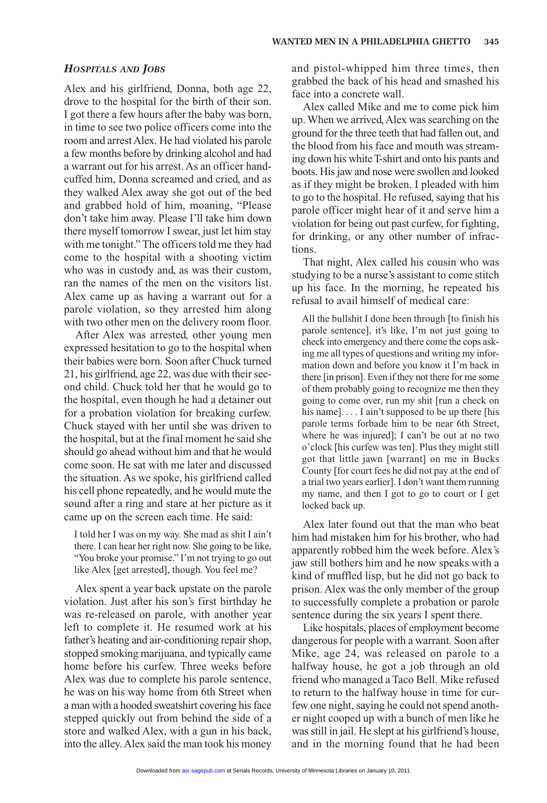#### *HOSPITALS AND JOBS*

Alex and his girlfriend, Donna, both age 22, drove to the hospital for the birth of their son. I got there a few hours after the baby was born, in time to see two police officers come into the room and arrest Alex. He had violated his parole a few months before by drinking alcohol and had a warrant out for his arrest. As an officer handcuffed him, Donna screamed and cried, and as they walked Alex away she got out of the bed and grabbed hold of him, moaning, "Please don't take him away. Please I'll take him down there myself tomorrow I swear, just let him stay with me tonight." The officers told me they had come to the hospital with a shooting victim who was in custody and, as was their custom, ran the names of the men on the visitors list. Alex came up as having a warrant out for a parole violation, so they arrested him along with two other men on the delivery room floor.

After Alex was arrested, other young men expressed hesitation to go to the hospital when their babies were born. Soon after Chuck turned 21, his girlfriend, age 22, was due with their second child. Chuck told her that he would go to the hospital, even though he had a detainer out for a probation violation for breaking curfew. Chuck stayed with her until she was driven to the hospital, but at the final moment he said she should go ahead without him and that he would come soon. He sat with me later and discussed the situation. As we spoke, his girlfriend called his cell phone repeatedly, and he would mute the sound after a ring and stare at her picture as it came up on the screen each time. He said:

I told her I was on my way. She mad as shit I ain't there. I can hear her right now. She going to be like, "You broke your promise." I'm not trying to go out like Alex [get arrested], though. You feel me?

Alex spent a year back upstate on the parole violation. Just after his son's first birthday he was re-released on parole, with another year left to complete it. He resumed work at his father's heating and air-conditioning repair shop, stopped smoking marijuana, and typically came home before his curfew. Three weeks before Alex was due to complete his parole sentence, he was on his way home from 6th Street when a man with a hooded sweatshirt covering his face stepped quickly out from behind the side of a store and walked Alex, with a gun in his back, into the alley. Alex said the man took his money

and pistol-whipped him three times, then grabbed the back of his head and smashed his face into a concrete wall.

Alex called Mike and me to come pick him up. When we arrived, Alex was searching on the ground for the three teeth that had fallen out, and the blood from his face and mouth was streaming down his white T-shirt and onto his pants and boots. His jaw and nose were swollen and looked as if they might be broken. I pleaded with him to go to the hospital. He refused, saying that his parole officer might hear of it and serve him a violation for being out past curfew, for fighting, for drinking, or any other number of infractions.

That night, Alex called his cousin who was studying to be a nurse's assistant to come stitch up his face. In the morning, he repeated his refusal to avail himself of medical care:

All the bullshit I done been through [to finish his parole sentence], it's like, I'm not just going to check into emergency and there come the cops asking me all types of questions and writing my information down and before you know it I'm back in there [in prison]. Even if they not there for me some of them probably going to recognize me then they going to come over, run my shit [run a check on his name].... I ain't supposed to be up there [his parole terms forbade him to be near 6th Street, where he was injured]; I can't be out at no two o'clock [his curfew was ten]. Plus they might still got that little jawn [warrant] on me in Bucks County [for court fees he did not pay at the end of a trial two years earlier]. I don't want them running my name, and then I got to go to court or I get locked back up.

Alex later found out that the man who beat him had mistaken him for his brother, who had apparently robbed him the week before. Alex's jaw still bothers him and he now speaks with a kind of muffled lisp, but he did not go back to prison. Alex was the only member of the group to successfully complete a probation or parole sentence during the six years I spent there.

Like hospitals, places of employment become dangerous for people with a warrant. Soon after Mike, age 24, was released on parole to a halfway house, he got a job through an old friend who managed a Taco Bell. Mike refused to return to the halfway house in time for curfew one night, saying he could not spend another night cooped up with a bunch of men like he was still in jail. He slept at his girlfriend's house, and in the morning found that he had been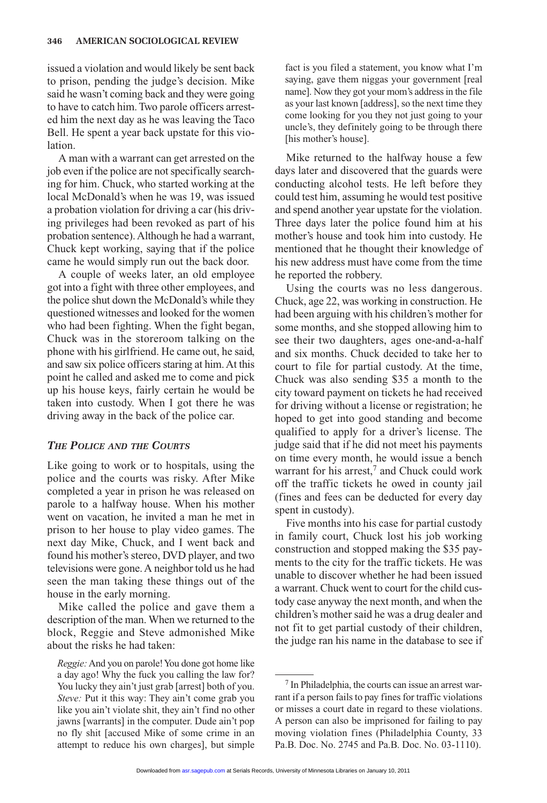issued a violation and would likely be sent back to prison, pending the judge's decision. Mike said he wasn't coming back and they were going to have to catch him. Two parole officers arrested him the next day as he was leaving the Taco Bell. He spent a year back upstate for this violation.

A man with a warrant can get arrested on the job even if the police are not specifically searching for him. Chuck, who started working at the local McDonald's when he was 19, was issued a probation violation for driving a car (his driving privileges had been revoked as part of his probation sentence). Although he had a warrant, Chuck kept working, saying that if the police came he would simply run out the back door.

A couple of weeks later, an old employee got into a fight with three other employees, and the police shut down the McDonald's while they questioned witnesses and looked for the women who had been fighting. When the fight began, Chuck was in the storeroom talking on the phone with his girlfriend. He came out, he said, and saw six police officers staring at him. At this point he called and asked me to come and pick up his house keys, fairly certain he would be taken into custody. When I got there he was driving away in the back of the police car.

#### *THE POLICE AND THE COURTS*

Like going to work or to hospitals, using the police and the courts was risky. After Mike completed a year in prison he was released on parole to a halfway house. When his mother went on vacation, he invited a man he met in prison to her house to play video games. The next day Mike, Chuck, and I went back and found his mother's stereo, DVD player, and two televisions were gone. A neighbor told us he had seen the man taking these things out of the house in the early morning.

Mike called the police and gave them a description of the man. When we returned to the block, Reggie and Steve admonished Mike about the risks he had taken:

*Reggie:*And you on parole! You done got home like a day ago! Why the fuck you calling the law for? You lucky they ain't just grab [arrest] both of you. *Steve:* Put it this way: They ain't come grab you like you ain't violate shit, they ain't find no other jawns [warrants] in the computer. Dude ain't pop no fly shit [accused Mike of some crime in an attempt to reduce his own charges], but simple

fact is you filed a statement, you know what I'm saying, gave them niggas your government [real name]. Now they got your mom's address in the file as your last known [address], so the next time they come looking for you they not just going to your uncle's, they definitely going to be through there [his mother's house].

Mike returned to the halfway house a few days later and discovered that the guards were conducting alcohol tests. He left before they could test him, assuming he would test positive and spend another year upstate for the violation. Three days later the police found him at his mother's house and took him into custody. He mentioned that he thought their knowledge of his new address must have come from the time he reported the robbery.

Using the courts was no less dangerous. Chuck, age 22, was working in construction. He had been arguing with his children's mother for some months, and she stopped allowing him to see their two daughters, ages one-and-a-half and six months. Chuck decided to take her to court to file for partial custody. At the time, Chuck was also sending \$35 a month to the city toward payment on tickets he had received for driving without a license or registration; he hoped to get into good standing and become qualified to apply for a driver's license. The judge said that if he did not meet his payments on time every month, he would issue a bench warrant for his arrest, $^7$  and Chuck could work off the traffic tickets he owed in county jail (fines and fees can be deducted for every day spent in custody).

Five months into his case for partial custody in family court, Chuck lost his job working construction and stopped making the \$35 payments to the city for the traffic tickets. He was unable to discover whether he had been issued a warrant. Chuck went to court for the child custody case anyway the next month, and when the children's mother said he was a drug dealer and not fit to get partial custody of their children, the judge ran his name in the database to see if

<sup>7</sup> In Philadelphia, the courts can issue an arrest warrant if a person fails to pay fines for traffic violations or misses a court date in regard to these violations. A person can also be imprisoned for failing to pay moving violation fines (Philadelphia County, 33 Pa.B. Doc. No. 2745 and Pa.B. Doc. No. 03-1110).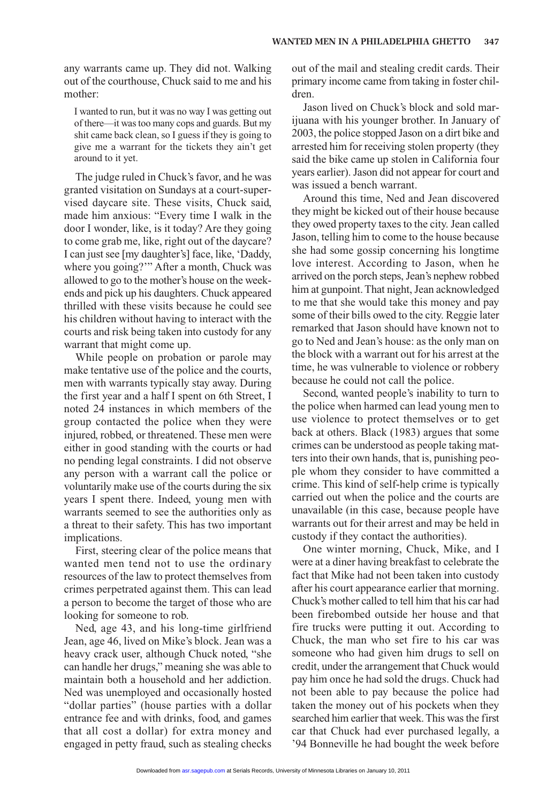any warrants came up. They did not. Walking out of the courthouse, Chuck said to me and his mother:

I wanted to run, but it was no way I was getting out of there—it was too many cops and guards. But my shit came back clean, so I guess if they is going to give me a warrant for the tickets they ain't get around to it yet.

The judge ruled in Chuck's favor, and he was granted visitation on Sundays at a court-supervised daycare site. These visits, Chuck said, made him anxious: "Every time I walk in the door I wonder, like, is it today? Are they going to come grab me, like, right out of the daycare? I can just see [my daughter's] face, like, 'Daddy, where you going?'" After a month, Chuck was allowed to go to the mother's house on the weekends and pick up his daughters. Chuck appeared thrilled with these visits because he could see his children without having to interact with the courts and risk being taken into custody for any warrant that might come up.

While people on probation or parole may make tentative use of the police and the courts, men with warrants typically stay away. During the first year and a half I spent on 6th Street, I noted 24 instances in which members of the group contacted the police when they were injured, robbed, or threatened. These men were either in good standing with the courts or had no pending legal constraints. I did not observe any person with a warrant call the police or voluntarily make use of the courts during the six years I spent there. Indeed, young men with warrants seemed to see the authorities only as a threat to their safety. This has two important implications.

First, steering clear of the police means that wanted men tend not to use the ordinary resources of the law to protect themselves from crimes perpetrated against them. This can lead a person to become the target of those who are looking for someone to rob.

Ned, age 43, and his long-time girlfriend Jean, age 46, lived on Mike's block. Jean was a heavy crack user, although Chuck noted, "she can handle her drugs," meaning she was able to maintain both a household and her addiction. Ned was unemployed and occasionally hosted "dollar parties" (house parties with a dollar entrance fee and with drinks, food, and games that all cost a dollar) for extra money and engaged in petty fraud, such as stealing checks

out of the mail and stealing credit cards. Their primary income came from taking in foster children.

Jason lived on Chuck's block and sold marijuana with his younger brother. In January of 2003, the police stopped Jason on a dirt bike and arrested him for receiving stolen property (they said the bike came up stolen in California four years earlier). Jason did not appear for court and was issued a bench warrant.

Around this time, Ned and Jean discovered they might be kicked out of their house because they owed property taxes to the city. Jean called Jason, telling him to come to the house because she had some gossip concerning his longtime love interest. According to Jason, when he arrived on the porch steps, Jean's nephew robbed him at gunpoint. That night, Jean acknowledged to me that she would take this money and pay some of their bills owed to the city. Reggie later remarked that Jason should have known not to go to Ned and Jean's house: as the only man on the block with a warrant out for his arrest at the time, he was vulnerable to violence or robbery because he could not call the police.

Second, wanted people's inability to turn to the police when harmed can lead young men to use violence to protect themselves or to get back at others. Black (1983) argues that some crimes can be understood as people taking matters into their own hands, that is, punishing people whom they consider to have committed a crime. This kind of self-help crime is typically carried out when the police and the courts are unavailable (in this case, because people have warrants out for their arrest and may be held in custody if they contact the authorities).

One winter morning, Chuck, Mike, and I were at a diner having breakfast to celebrate the fact that Mike had not been taken into custody after his court appearance earlier that morning. Chuck's mother called to tell him that his car had been firebombed outside her house and that fire trucks were putting it out. According to Chuck, the man who set fire to his car was someone who had given him drugs to sell on credit, under the arrangement that Chuck would pay him once he had sold the drugs. Chuck had not been able to pay because the police had taken the money out of his pockets when they searched him earlier that week. This was the first car that Chuck had ever purchased legally, a '94 Bonneville he had bought the week before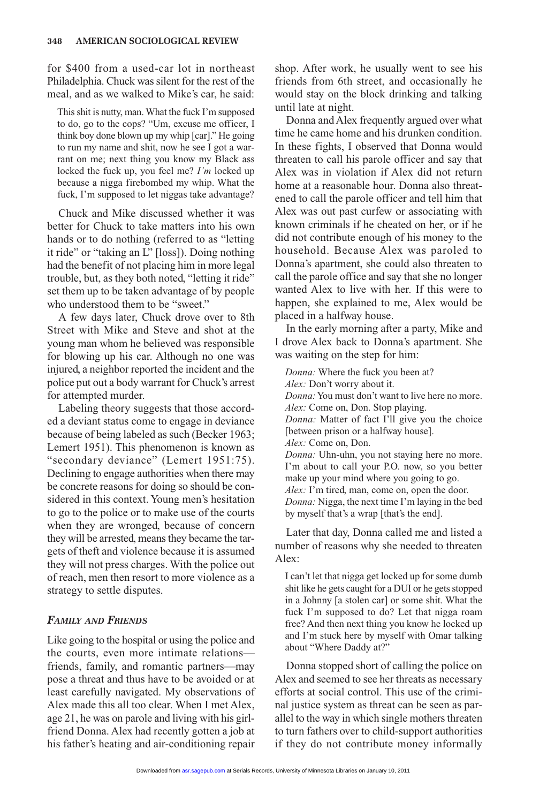for \$400 from a used-car lot in northeast Philadelphia. Chuck was silent for the rest of the meal, and as we walked to Mike's car, he said:

This shit is nutty, man. What the fuck I'm supposed to do, go to the cops? "Um, excuse me officer, I think boy done blown up my whip [car]." He going to run my name and shit, now he see I got a warrant on me; next thing you know my Black ass locked the fuck up, you feel me? *I'm* locked up because a nigga firebombed my whip. What the fuck, I'm supposed to let niggas take advantage?

Chuck and Mike discussed whether it was better for Chuck to take matters into his own hands or to do nothing (referred to as "letting it ride" or "taking an L" [loss]). Doing nothing had the benefit of not placing him in more legal trouble, but, as they both noted, "letting it ride" set them up to be taken advantage of by people who understood them to be "sweet."

A few days later, Chuck drove over to 8th Street with Mike and Steve and shot at the young man whom he believed was responsible for blowing up his car. Although no one was injured, a neighbor reported the incident and the police put out a body warrant for Chuck's arrest for attempted murder.

Labeling theory suggests that those accorded a deviant status come to engage in deviance because of being labeled as such (Becker 1963; Lemert 1951). This phenomenon is known as "secondary deviance" (Lemert 1951:75). Declining to engage authorities when there may be concrete reasons for doing so should be considered in this context. Young men's hesitation to go to the police or to make use of the courts when they are wronged, because of concern they will be arrested, means they became the targets of theft and violence because it is assumed they will not press charges. With the police out of reach, men then resort to more violence as a strategy to settle disputes.

#### *FAMILY AND FRIENDS*

Like going to the hospital or using the police and the courts, even more intimate relations friends, family, and romantic partners—may pose a threat and thus have to be avoided or at least carefully navigated. My observations of Alex made this all too clear. When I met Alex, age 21, he was on parole and living with his girlfriend Donna. Alex had recently gotten a job at his father's heating and air-conditioning repair

shop. After work, he usually went to see his friends from 6th street, and occasionally he would stay on the block drinking and talking until late at night.

Donna and Alex frequently argued over what time he came home and his drunken condition. In these fights, I observed that Donna would threaten to call his parole officer and say that Alex was in violation if Alex did not return home at a reasonable hour. Donna also threatened to call the parole officer and tell him that Alex was out past curfew or associating with known criminals if he cheated on her, or if he did not contribute enough of his money to the household. Because Alex was paroled to Donna's apartment, she could also threaten to call the parole office and say that she no longer wanted Alex to live with her. If this were to happen, she explained to me, Alex would be placed in a halfway house.

In the early morning after a party, Mike and I drove Alex back to Donna's apartment. She was waiting on the step for him:

*Donna:* Where the fuck you been at? *Alex:* Don't worry about it. *Donna:*You must don't want to live here no more. *Alex:* Come on, Don. Stop playing. *Donna:* Matter of fact I'll give you the choice [between prison or a halfway house]. *Alex:* Come on, Don. *Donna:* Uhn-uhn, you not staying here no more. I'm about to call your P.O. now, so you better make up your mind where you going to go. *Alex:* I'm tired, man, come on, open the door. *Donna:* Nigga, the next time I'm laying in the bed by myself that's a wrap [that's the end].

Later that day, Donna called me and listed a number of reasons why she needed to threaten Alex:

I can't let that nigga get locked up for some dumb shit like he gets caught for a DUI or he gets stopped in a Johnny [a stolen car] or some shit. What the fuck I'm supposed to do? Let that nigga roam free? And then next thing you know he locked up and I'm stuck here by myself with Omar talking about "Where Daddy at?"

Donna stopped short of calling the police on Alex and seemed to see her threats as necessary efforts at social control. This use of the criminal justice system as threat can be seen as parallel to the way in which single mothers threaten to turn fathers over to child-support authorities if they do not contribute money informally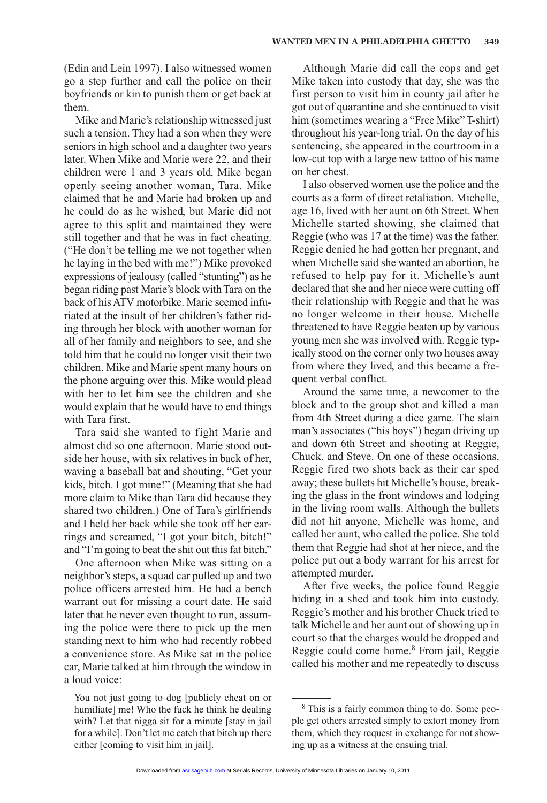(Edin and Lein 1997). I also witnessed women go a step further and call the police on their boyfriends or kin to punish them or get back at them.

Mike and Marie's relationship witnessed just such a tension. They had a son when they were seniors in high school and a daughter two years later. When Mike and Marie were 22, and their children were 1 and 3 years old, Mike began openly seeing another woman, Tara. Mike claimed that he and Marie had broken up and he could do as he wished, but Marie did not agree to this split and maintained they were still together and that he was in fact cheating. ("He don't be telling me we not together when he laying in the bed with me!") Mike provoked expressions of jealousy (called "stunting") as he began riding past Marie's block with Tara on the back of his ATV motorbike. Marie seemed infuriated at the insult of her children's father riding through her block with another woman for all of her family and neighbors to see, and she told him that he could no longer visit their two children. Mike and Marie spent many hours on the phone arguing over this. Mike would plead with her to let him see the children and she would explain that he would have to end things with Tara first.

Tara said she wanted to fight Marie and almost did so one afternoon. Marie stood outside her house, with six relatives in back of her, waving a baseball bat and shouting, "Get your kids, bitch. I got mine!" (Meaning that she had more claim to Mike than Tara did because they shared two children.) One of Tara's girlfriends and I held her back while she took off her earrings and screamed, "I got your bitch, bitch!" and "I'm going to beat the shit out this fat bitch."

One afternoon when Mike was sitting on a neighbor's steps, a squad car pulled up and two police officers arrested him. He had a bench warrant out for missing a court date. He said later that he never even thought to run, assuming the police were there to pick up the men standing next to him who had recently robbed a convenience store. As Mike sat in the police car, Marie talked at him through the window in a loud voice:

You not just going to dog [publicly cheat on or humiliate] me! Who the fuck he think he dealing with? Let that nigga sit for a minute [stay in jail for a while]. Don't let me catch that bitch up there either [coming to visit him in jail].

Although Marie did call the cops and get Mike taken into custody that day, she was the first person to visit him in county jail after he got out of quarantine and she continued to visit him (sometimes wearing a "Free Mike" T-shirt) throughout his year-long trial. On the day of his sentencing, she appeared in the courtroom in a low-cut top with a large new tattoo of his name on her chest.

I also observed women use the police and the courts as a form of direct retaliation. Michelle, age 16, lived with her aunt on 6th Street. When Michelle started showing, she claimed that Reggie (who was 17 at the time) was the father. Reggie denied he had gotten her pregnant, and when Michelle said she wanted an abortion, he refused to help pay for it. Michelle's aunt declared that she and her niece were cutting off their relationship with Reggie and that he was no longer welcome in their house. Michelle threatened to have Reggie beaten up by various young men she was involved with. Reggie typically stood on the corner only two houses away from where they lived, and this became a frequent verbal conflict.

Around the same time, a newcomer to the block and to the group shot and killed a man from 4th Street during a dice game. The slain man's associates ("his boys") began driving up and down 6th Street and shooting at Reggie, Chuck, and Steve. On one of these occasions, Reggie fired two shots back as their car sped away; these bullets hit Michelle's house, breaking the glass in the front windows and lodging in the living room walls. Although the bullets did not hit anyone, Michelle was home, and called her aunt, who called the police. She told them that Reggie had shot at her niece, and the police put out a body warrant for his arrest for attempted murder.

After five weeks, the police found Reggie hiding in a shed and took him into custody. Reggie's mother and his brother Chuck tried to talk Michelle and her aunt out of showing up in court so that the charges would be dropped and Reggie could come home.<sup>8</sup> From jail, Reggie called his mother and me repeatedly to discuss

<sup>8</sup> This is a fairly common thing to do. Some people get others arrested simply to extort money from them, which they request in exchange for not showing up as a witness at the ensuing trial.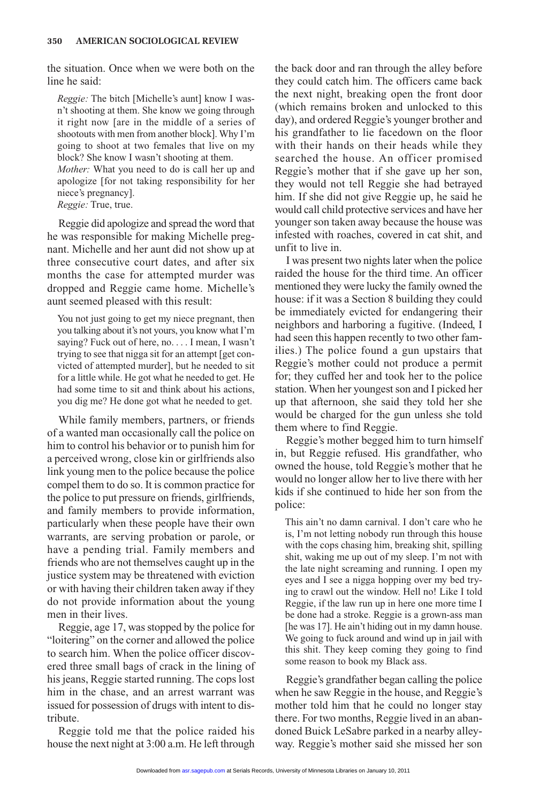the situation. Once when we were both on the line he said:

*Reggie:* The bitch [Michelle's aunt] know I wasn't shooting at them. She know we going through it right now [are in the middle of a series of shootouts with men from another block]. Why I'm going to shoot at two females that live on my block? She know I wasn't shooting at them.

*Mother:* What you need to do is call her up and apologize [for not taking responsibility for her niece's pregnancy].

*Reggie:* True, true.

Reggie did apologize and spread the word that he was responsible for making Michelle pregnant. Michelle and her aunt did not show up at three consecutive court dates, and after six months the case for attempted murder was dropped and Reggie came home. Michelle's aunt seemed pleased with this result:

You not just going to get my niece pregnant, then you talking about it's not yours, you know what I'm saying? Fuck out of here, no.... I mean, I wasn't trying to see that nigga sit for an attempt [get convicted of attempted murder], but he needed to sit for a little while. He got what he needed to get. He had some time to sit and think about his actions, you dig me? He done got what he needed to get.

While family members, partners, or friends of a wanted man occasionally call the police on him to control his behavior or to punish him for a perceived wrong, close kin or girlfriends also link young men to the police because the police compel them to do so. It is common practice for the police to put pressure on friends, girlfriends, and family members to provide information, particularly when these people have their own warrants, are serving probation or parole, or have a pending trial. Family members and friends who are not themselves caught up in the justice system may be threatened with eviction or with having their children taken away if they do not provide information about the young men in their lives.

Reggie, age 17, was stopped by the police for "loitering" on the corner and allowed the police to search him. When the police officer discovered three small bags of crack in the lining of his jeans, Reggie started running. The cops lost him in the chase, and an arrest warrant was issued for possession of drugs with intent to distribute.

Reggie told me that the police raided his house the next night at 3:00 a.m. He left through

the back door and ran through the alley before they could catch him. The officers came back the next night, breaking open the front door (which remains broken and unlocked to this day), and ordered Reggie's younger brother and his grandfather to lie facedown on the floor with their hands on their heads while they searched the house. An officer promised Reggie's mother that if she gave up her son, they would not tell Reggie she had betrayed him. If she did not give Reggie up, he said he would call child protective services and have her younger son taken away because the house was infested with roaches, covered in cat shit, and unfit to live in.

I was present two nights later when the police raided the house for the third time. An officer mentioned they were lucky the family owned the house: if it was a Section 8 building they could be immediately evicted for endangering their neighbors and harboring a fugitive. (Indeed, I had seen this happen recently to two other families.) The police found a gun upstairs that Reggie's mother could not produce a permit for; they cuffed her and took her to the police station. When her youngest son and I picked her up that afternoon, she said they told her she would be charged for the gun unless she told them where to find Reggie.

Reggie's mother begged him to turn himself in, but Reggie refused. His grandfather, who owned the house, told Reggie's mother that he would no longer allow her to live there with her kids if she continued to hide her son from the police:

This ain't no damn carnival. I don't care who he is, I'm not letting nobody run through this house with the cops chasing him, breaking shit, spilling shit, waking me up out of my sleep. I'm not with the late night screaming and running. I open my eyes and I see a nigga hopping over my bed trying to crawl out the window. Hell no! Like I told Reggie, if the law run up in here one more time I be done had a stroke. Reggie is a grown-ass man [he was 17]. He ain't hiding out in my damn house. We going to fuck around and wind up in jail with this shit. They keep coming they going to find some reason to book my Black ass.

Reggie's grandfather began calling the police when he saw Reggie in the house, and Reggie's mother told him that he could no longer stay there. For two months, Reggie lived in an abandoned Buick LeSabre parked in a nearby alleyway. Reggie's mother said she missed her son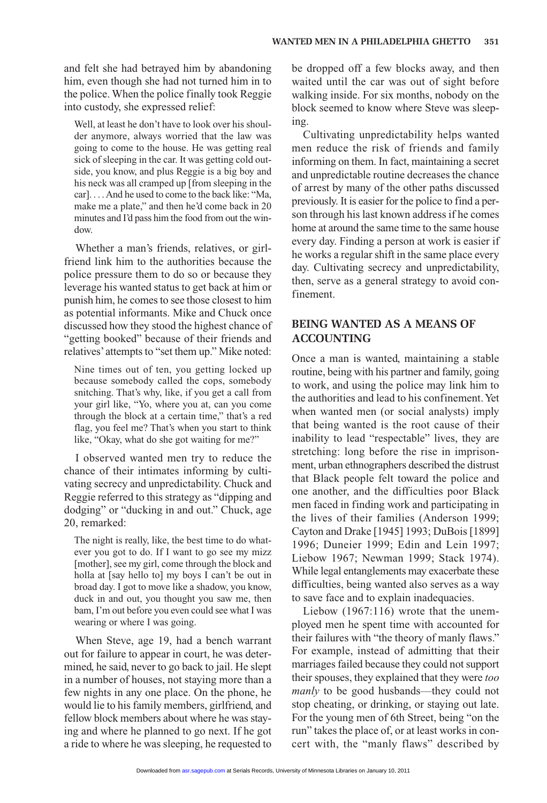and felt she had betrayed him by abandoning him, even though she had not turned him in to the police. When the police finally took Reggie into custody, she expressed relief:

Well, at least he don't have to look over his shoulder anymore, always worried that the law was going to come to the house. He was getting real sick of sleeping in the car. It was getting cold outside, you know, and plus Reggie is a big boy and his neck was all cramped up [from sleeping in the car]... And he used to come to the back like: "Ma, make me a plate," and then he'd come back in 20 minutes and I'd pass him the food from out the window.

Whether a man's friends, relatives, or girlfriend link him to the authorities because the police pressure them to do so or because they leverage his wanted status to get back at him or punish him, he comes to see those closest to him as potential informants. Mike and Chuck once discussed how they stood the highest chance of "getting booked" because of their friends and relatives'attempts to "set them up." Mike noted:

Nine times out of ten, you getting locked up because somebody called the cops, somebody snitching. That's why, like, if you get a call from your girl like, "Yo, where you at, can you come through the block at a certain time," that's a red flag, you feel me? That's when you start to think like, "Okay, what do she got waiting for me?"

I observed wanted men try to reduce the chance of their intimates informing by cultivating secrecy and unpredictability. Chuck and Reggie referred to this strategy as "dipping and dodging" or "ducking in and out." Chuck, age 20, remarked:

The night is really, like, the best time to do whatever you got to do. If I want to go see my mizz [mother], see my girl, come through the block and holla at [say hello to] my boys I can't be out in broad day. I got to move like a shadow, you know, duck in and out, you thought you saw me, then bam, I'm out before you even could see what I was wearing or where I was going.

When Steve, age 19, had a bench warrant out for failure to appear in court, he was determined, he said, never to go back to jail. He slept in a number of houses, not staying more than a few nights in any one place. On the phone, he would lie to his family members, girlfriend, and fellow block members about where he was staying and where he planned to go next. If he got a ride to where he was sleeping, he requested to

be dropped off a few blocks away, and then waited until the car was out of sight before walking inside. For six months, nobody on the block seemed to know where Steve was sleeping.

Cultivating unpredictability helps wanted men reduce the risk of friends and family informing on them. In fact, maintaining a secret and unpredictable routine decreases the chance of arrest by many of the other paths discussed previously. It is easier for the police to find a person through his last known address if he comes home at around the same time to the same house every day. Finding a person at work is easier if he works a regular shift in the same place every day. Cultivating secrecy and unpredictability, then, serve as a general strategy to avoid confinement.

### **BEING WANTED AS A MEANS OF ACCOUNTING**

Once a man is wanted, maintaining a stable routine, being with his partner and family, going to work, and using the police may link him to the authorities and lead to his confinement. Yet when wanted men (or social analysts) imply that being wanted is the root cause of their inability to lead "respectable" lives, they are stretching: long before the rise in imprisonment, urban ethnographers described the distrust that Black people felt toward the police and one another, and the difficulties poor Black men faced in finding work and participating in the lives of their families (Anderson 1999; Cayton and Drake [1945] 1993; DuBois [1899] 1996; Duneier 1999; Edin and Lein 1997; Liebow 1967; Newman 1999; Stack 1974). While legal entanglements may exacerbate these difficulties, being wanted also serves as a way to save face and to explain inadequacies.

Liebow (1967:116) wrote that the unemployed men he spent time with accounted for their failures with "the theory of manly flaws." For example, instead of admitting that their marriages failed because they could not support their spouses, they explained that they were *too manly* to be good husbands—they could not stop cheating, or drinking, or staying out late. For the young men of 6th Street, being "on the run" takes the place of, or at least works in concert with, the "manly flaws" described by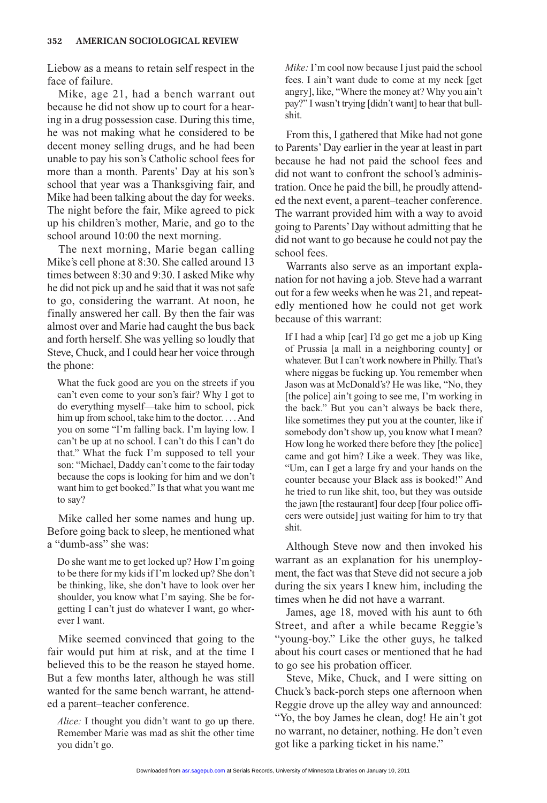Liebow as a means to retain self respect in the face of failure.

Mike, age 21, had a bench warrant out because he did not show up to court for a hearing in a drug possession case. During this time, he was not making what he considered to be decent money selling drugs, and he had been unable to pay his son's Catholic school fees for more than a month. Parents' Day at his son's school that year was a Thanksgiving fair, and Mike had been talking about the day for weeks. The night before the fair, Mike agreed to pick up his children's mother, Marie, and go to the school around 10:00 the next morning.

The next morning, Marie began calling Mike's cell phone at 8:30. She called around 13 times between 8:30 and 9:30. I asked Mike why he did not pick up and he said that it was not safe to go, considering the warrant. At noon, he finally answered her call. By then the fair was almost over and Marie had caught the bus back and forth herself. She was yelling so loudly that Steve, Chuck, and I could hear her voice through the phone:

What the fuck good are you on the streets if you can't even come to your son's fair? Why I got to do everything myself—take him to school, pick him up from school, take him to the doctor. $\ldots$ . And you on some "I'm falling back. I'm laying low. I can't be up at no school. I can't do this I can't do that." What the fuck I'm supposed to tell your son: "Michael, Daddy can't come to the fair today because the cops is looking for him and we don't want him to get booked." Is that what you want me to say?

Mike called her some names and hung up. Before going back to sleep, he mentioned what a "dumb-ass" she was:

Do she want me to get locked up? How I'm going to be there for my kids if I'm locked up? She don't be thinking, like, she don't have to look over her shoulder, you know what I'm saying. She be forgetting I can't just do whatever I want, go wherever I want.

Mike seemed convinced that going to the fair would put him at risk, and at the time I believed this to be the reason he stayed home. But a few months later, although he was still wanted for the same bench warrant, he attended a parent–teacher conference.

*Alice:* I thought you didn't want to go up there. Remember Marie was mad as shit the other time you didn't go.

*Mike:* I'm cool now because I just paid the school fees. I ain't want dude to come at my neck [get angry], like, "Where the money at? Why you ain't pay?" I wasn't trying [didn't want] to hear that bullshit.

From this, I gathered that Mike had not gone to Parents'Day earlier in the year at least in part because he had not paid the school fees and did not want to confront the school's administration. Once he paid the bill, he proudly attended the next event, a parent–teacher conference. The warrant provided him with a way to avoid going to Parents'Day without admitting that he did not want to go because he could not pay the school fees.

Warrants also serve as an important explanation for not having a job. Steve had a warrant out for a few weeks when he was 21, and repeatedly mentioned how he could not get work because of this warrant:

If I had a whip [car] I'd go get me a job up King of Prussia [a mall in a neighboring county] or whatever. But I can't work nowhere in Philly. That's where niggas be fucking up. You remember when Jason was at McDonald's? He was like, "No, they [the police] ain't going to see me, I'm working in the back." But you can't always be back there, like sometimes they put you at the counter, like if somebody don't show up, you know what I mean? How long he worked there before they [the police] came and got him? Like a week. They was like, "Um, can I get a large fry and your hands on the counter because your Black ass is booked!" And he tried to run like shit, too, but they was outside the jawn [the restaurant] four deep [four police officers were outside] just waiting for him to try that shit.

Although Steve now and then invoked his warrant as an explanation for his unemployment, the fact was that Steve did not secure a job during the six years I knew him, including the times when he did not have a warrant.

James, age 18, moved with his aunt to 6th Street, and after a while became Reggie's "young-boy." Like the other guys, he talked about his court cases or mentioned that he had to go see his probation officer.

Steve, Mike, Chuck, and I were sitting on Chuck's back-porch steps one afternoon when Reggie drove up the alley way and announced: "Yo, the boy James he clean, dog! He ain't got no warrant, no detainer, nothing. He don't even got like a parking ticket in his name."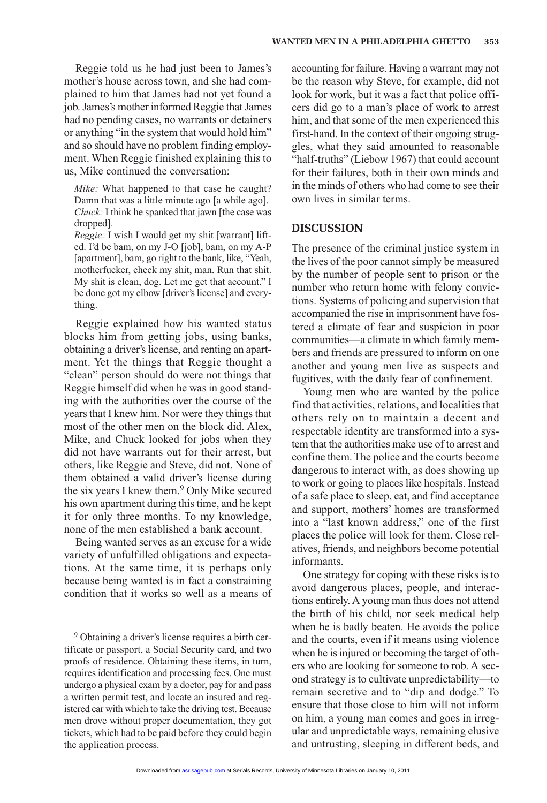Reggie told us he had just been to James's mother's house across town, and she had complained to him that James had not yet found a job. James's mother informed Reggie that James had no pending cases, no warrants or detainers or anything "in the system that would hold him" and so should have no problem finding employment. When Reggie finished explaining this to us, Mike continued the conversation:

*Mike:* What happened to that case he caught? Damn that was a little minute ago [a while ago]. *Chuck:* I think he spanked that jawn [the case was dropped].

*Reggie:* I wish I would get my shit [warrant] lifted. I'd be bam, on my J-O [job], bam, on my A-P [apartment], bam, go right to the bank, like, "Yeah, motherfucker, check my shit, man. Run that shit. My shit is clean, dog. Let me get that account." I be done got my elbow [driver's license] and everything.

Reggie explained how his wanted status blocks him from getting jobs, using banks, obtaining a driver's license, and renting an apartment. Yet the things that Reggie thought a "clean" person should do were not things that Reggie himself did when he was in good standing with the authorities over the course of the years that I knew him. Nor were they things that most of the other men on the block did. Alex, Mike, and Chuck looked for jobs when they did not have warrants out for their arrest, but others, like Reggie and Steve, did not. None of them obtained a valid driver's license during the six years I knew them.<sup>9</sup> Only Mike secured his own apartment during this time, and he kept it for only three months. To my knowledge, none of the men established a bank account.

Being wanted serves as an excuse for a wide variety of unfulfilled obligations and expectations. At the same time, it is perhaps only because being wanted is in fact a constraining condition that it works so well as a means of accounting for failure. Having a warrant may not be the reason why Steve, for example, did not look for work, but it was a fact that police officers did go to a man's place of work to arrest him, and that some of the men experienced this first-hand. In the context of their ongoing struggles, what they said amounted to reasonable "half-truths" (Liebow 1967) that could account for their failures, both in their own minds and in the minds of others who had come to see their own lives in similar terms.

#### **DISCUSSION**

The presence of the criminal justice system in the lives of the poor cannot simply be measured by the number of people sent to prison or the number who return home with felony convictions. Systems of policing and supervision that accompanied the rise in imprisonment have fostered a climate of fear and suspicion in poor communities—a climate in which family members and friends are pressured to inform on one another and young men live as suspects and fugitives, with the daily fear of confinement.

Young men who are wanted by the police find that activities, relations, and localities that others rely on to maintain a decent and respectable identity are transformed into a system that the authorities make use of to arrest and confine them. The police and the courts become dangerous to interact with, as does showing up to work or going to places like hospitals. Instead of a safe place to sleep, eat, and find acceptance and support, mothers' homes are transformed into a "last known address," one of the first places the police will look for them. Close relatives, friends, and neighbors become potential informants.

One strategy for coping with these risks is to avoid dangerous places, people, and interactions entirely. A young man thus does not attend the birth of his child, nor seek medical help when he is badly beaten. He avoids the police and the courts, even if it means using violence when he is injured or becoming the target of others who are looking for someone to rob. A second strategy is to cultivate unpredictability—to remain secretive and to "dip and dodge." To ensure that those close to him will not inform on him, a young man comes and goes in irregular and unpredictable ways, remaining elusive and untrusting, sleeping in different beds, and

<sup>9</sup> Obtaining a driver's license requires a birth certificate or passport, a Social Security card, and two proofs of residence. Obtaining these items, in turn, requires identification and processing fees. One must undergo a physical exam by a doctor, pay for and pass a written permit test, and locate an insured and registered car with which to take the driving test. Because men drove without proper documentation, they got tickets, which had to be paid before they could begin the application process.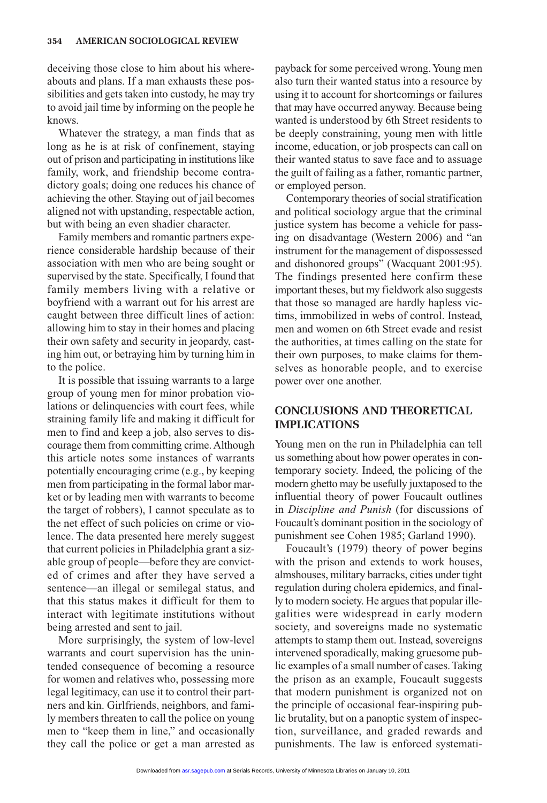deceiving those close to him about his whereabouts and plans. If a man exhausts these possibilities and gets taken into custody, he may try to avoid jail time by informing on the people he knows.

Whatever the strategy, a man finds that as long as he is at risk of confinement, staying out of prison and participating in institutions like family, work, and friendship become contradictory goals; doing one reduces his chance of achieving the other. Staying out of jail becomes aligned not with upstanding, respectable action, but with being an even shadier character.

Family members and romantic partners experience considerable hardship because of their association with men who are being sought or supervised by the state. Specifically, I found that family members living with a relative or boyfriend with a warrant out for his arrest are caught between three difficult lines of action: allowing him to stay in their homes and placing their own safety and security in jeopardy, casting him out, or betraying him by turning him in to the police.

It is possible that issuing warrants to a large group of young men for minor probation violations or delinquencies with court fees, while straining family life and making it difficult for men to find and keep a job, also serves to discourage them from committing crime. Although this article notes some instances of warrants potentially encouraging crime (e.g., by keeping men from participating in the formal labor market or by leading men with warrants to become the target of robbers), I cannot speculate as to the net effect of such policies on crime or violence. The data presented here merely suggest that current policies in Philadelphia grant a sizable group of people—before they are convicted of crimes and after they have served a sentence—an illegal or semilegal status, and that this status makes it difficult for them to interact with legitimate institutions without being arrested and sent to jail.

More surprisingly, the system of low-level warrants and court supervision has the unintended consequence of becoming a resource for women and relatives who, possessing more legal legitimacy, can use it to control their partners and kin. Girlfriends, neighbors, and family members threaten to call the police on young men to "keep them in line," and occasionally they call the police or get a man arrested as

payback for some perceived wrong. Young men also turn their wanted status into a resource by using it to account for shortcomings or failures that may have occurred anyway. Because being wanted is understood by 6th Street residents to be deeply constraining, young men with little income, education, or job prospects can call on their wanted status to save face and to assuage the guilt of failing as a father, romantic partner, or employed person.

Contemporary theories of social stratification and political sociology argue that the criminal justice system has become a vehicle for passing on disadvantage (Western 2006) and "an instrument for the management of dispossessed and dishonored groups" (Wacquant 2001:95). The findings presented here confirm these important theses, but my fieldwork also suggests that those so managed are hardly hapless victims, immobilized in webs of control. Instead, men and women on 6th Street evade and resist the authorities, at times calling on the state for their own purposes, to make claims for themselves as honorable people, and to exercise power over one another.

## **CONCLUSIONS AND THEORETICAL IMPLICATIONS**

Young men on the run in Philadelphia can tell us something about how power operates in contemporary society. Indeed, the policing of the modern ghetto may be usefully juxtaposed to the influential theory of power Foucault outlines in *Discipline and Punish* (for discussions of Foucault's dominant position in the sociology of punishment see Cohen 1985; Garland 1990).

Foucault's (1979) theory of power begins with the prison and extends to work houses, almshouses, military barracks, cities under tight regulation during cholera epidemics, and finally to modern society. He argues that popular illegalities were widespread in early modern society, and sovereigns made no systematic attempts to stamp them out. Instead, sovereigns intervened sporadically, making gruesome public examples of a small number of cases. Taking the prison as an example, Foucault suggests that modern punishment is organized not on the principle of occasional fear-inspiring public brutality, but on a panoptic system of inspection, surveillance, and graded rewards and punishments. The law is enforced systemati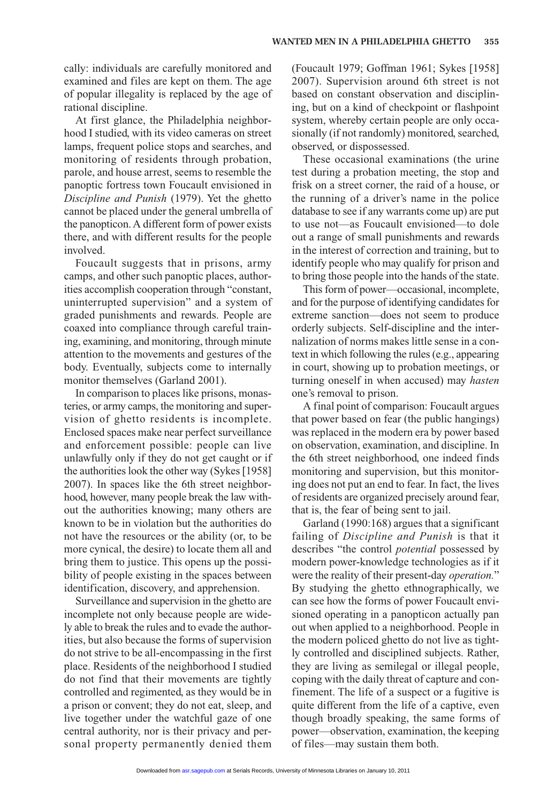cally: individuals are carefully monitored and examined and files are kept on them. The age of popular illegality is replaced by the age of rational discipline.

At first glance, the Philadelphia neighborhood I studied, with its video cameras on street lamps, frequent police stops and searches, and monitoring of residents through probation, parole, and house arrest, seems to resemble the panoptic fortress town Foucault envisioned in *Discipline and Punish* (1979). Yet the ghetto cannot be placed under the general umbrella of the panopticon. A different form of power exists there, and with different results for the people involved.

Foucault suggests that in prisons, army camps, and other such panoptic places, authorities accomplish cooperation through "constant, uninterrupted supervision" and a system of graded punishments and rewards. People are coaxed into compliance through careful training, examining, and monitoring, through minute attention to the movements and gestures of the body. Eventually, subjects come to internally monitor themselves (Garland 2001).

In comparison to places like prisons, monasteries, or army camps, the monitoring and supervision of ghetto residents is incomplete. Enclosed spaces make near perfect surveillance and enforcement possible: people can live unlawfully only if they do not get caught or if the authorities look the other way (Sykes [1958] 2007). In spaces like the 6th street neighborhood, however, many people break the law without the authorities knowing; many others are known to be in violation but the authorities do not have the resources or the ability (or, to be more cynical, the desire) to locate them all and bring them to justice. This opens up the possibility of people existing in the spaces between identification, discovery, and apprehension.

Surveillance and supervision in the ghetto are incomplete not only because people are widely able to break the rules and to evade the authorities, but also because the forms of supervision do not strive to be all-encompassing in the first place. Residents of the neighborhood I studied do not find that their movements are tightly controlled and regimented, as they would be in a prison or convent; they do not eat, sleep, and live together under the watchful gaze of one central authority, nor is their privacy and personal property permanently denied them

(Foucault 1979; Goffman 1961; Sykes [1958] 2007). Supervision around 6th street is not based on constant observation and disciplining, but on a kind of checkpoint or flashpoint system, whereby certain people are only occasionally (if not randomly) monitored, searched, observed, or dispossessed.

These occasional examinations (the urine test during a probation meeting, the stop and frisk on a street corner, the raid of a house, or the running of a driver's name in the police database to see if any warrants come up) are put to use not—as Foucault envisioned—to dole out a range of small punishments and rewards in the interest of correction and training, but to identify people who may qualify for prison and to bring those people into the hands of the state.

This form of power—occasional, incomplete, and for the purpose of identifying candidates for extreme sanction—does not seem to produce orderly subjects. Self-discipline and the internalization of norms makes little sense in a context in which following the rules (e.g., appearing in court, showing up to probation meetings, or turning oneself in when accused) may *hasten* one's removal to prison.

A final point of comparison: Foucault argues that power based on fear (the public hangings) was replaced in the modern era by power based on observation, examination, and discipline. In the 6th street neighborhood, one indeed finds monitoring and supervision, but this monitoring does not put an end to fear. In fact, the lives of residents are organized precisely around fear, that is, the fear of being sent to jail.

Garland (1990:168) argues that a significant failing of *Discipline and Punish* is that it describes "the control *potential* possessed by modern power-knowledge technologies as if it were the reality of their present-day *operation.*" By studying the ghetto ethnographically, we can see how the forms of power Foucault envisioned operating in a panopticon actually pan out when applied to a neighborhood. People in the modern policed ghetto do not live as tightly controlled and disciplined subjects. Rather, they are living as semilegal or illegal people, coping with the daily threat of capture and confinement. The life of a suspect or a fugitive is quite different from the life of a captive, even though broadly speaking, the same forms of power—observation, examination, the keeping of files—may sustain them both.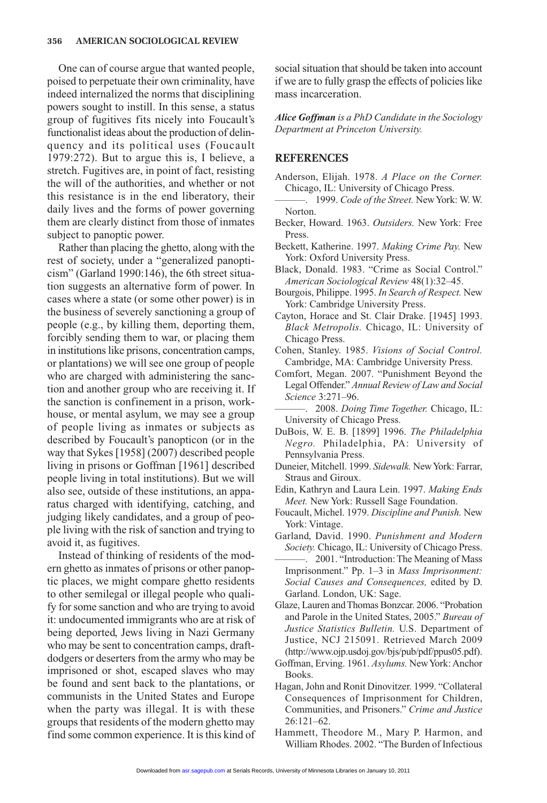One can of course argue that wanted people, poised to perpetuate their own criminality, have indeed internalized the norms that disciplining powers sought to instill. In this sense, a status group of fugitives fits nicely into Foucault's functionalist ideas about the production of delinquency and its political uses (Foucault 1979:272). But to argue this is, I believe, a stretch. Fugitives are, in point of fact, resisting the will of the authorities, and whether or not this resistance is in the end liberatory, their daily lives and the forms of power governing them are clearly distinct from those of inmates subject to panoptic power.

Rather than placing the ghetto, along with the rest of society, under a "generalized panopticism" (Garland 1990:146), the 6th street situation suggests an alternative form of power. In cases where a state (or some other power) is in the business of severely sanctioning a group of people (e.g., by killing them, deporting them, forcibly sending them to war, or placing them in institutions like prisons, concentration camps, or plantations) we will see one group of people who are charged with administering the sanction and another group who are receiving it. If the sanction is confinement in a prison, workhouse, or mental asylum, we may see a group of people living as inmates or subjects as described by Foucault's panopticon (or in the way that Sykes [1958] (2007) described people living in prisons or Goffman [1961] described people living in total institutions). But we will also see, outside of these institutions, an apparatus charged with identifying, catching, and judging likely candidates, and a group of people living with the risk of sanction and trying to avoid it, as fugitives.

Instead of thinking of residents of the modern ghetto as inmates of prisons or other panoptic places, we might compare ghetto residents to other semilegal or illegal people who qualify for some sanction and who are trying to avoid it: undocumented immigrants who are at risk of being deported, Jews living in Nazi Germany who may be sent to concentration camps, draftdodgers or deserters from the army who may be imprisoned or shot, escaped slaves who may be found and sent back to the plantations, or communists in the United States and Europe when the party was illegal. It is with these groups that residents of the modern ghetto may find some common experience. It is this kind of social situation that should be taken into account if we are to fully grasp the effects of policies like mass incarceration.

*Alice Goffman is a PhD Candidate in the Sociology Department at Princeton University.*

#### **REFERENCES**

- Anderson, Elijah. 1978. *A Place on the Corner.* Chicago, IL: University of Chicago Press.
- ———. 1999. *Code of the Street.* New York: W. W. Norton.
- Becker, Howard. 1963. *Outsiders.* New York: Free Press.
- Beckett, Katherine. 1997. *Making Crime Pay.* New York: Oxford University Press.
- Black, Donald. 1983. "Crime as Social Control." *American Sociological Review* 48(1):32–45.
- Bourgois, Philippe. 1995. *In Search of Respect.* New York: Cambridge University Press.
- Cayton, Horace and St. Clair Drake. [1945] 1993. *Black Metropolis.* Chicago, IL: University of Chicago Press.
- Cohen, Stanley. 1985. *Visions of Social Control.* Cambridge, MA: Cambridge University Press.
- Comfort, Megan. 2007. "Punishment Beyond the Legal Offender." *Annual Review of Law and Social Science* 3:271–96.
- ———. 2008. *Doing Time Together.* Chicago, IL: University of Chicago Press.
- DuBois, W. E. B. [1899] 1996. *The Philadelphia Negro.* Philadelphia, PA: University of Pennsylvania Press.
- Duneier, Mitchell. 1999. *Sidewalk.* New York: Farrar, Straus and Giroux.
- Edin, Kathryn and Laura Lein. 1997. *Making Ends Meet.* New York: Russell Sage Foundation.
- Foucault, Michel. 1979. *Discipline and Punish.* New York: Vintage.
- Garland, David. 1990. *Punishment and Modern Society.* Chicago, IL: University of Chicago Press.
- -. 2001. "Introduction: The Meaning of Mass Imprisonment." Pp. 1–3 in *Mass Imprisonment: Social Causes and Consequences,* edited by D. Garland. London, UK: Sage.
- Glaze, Lauren and Thomas Bonzcar. 2006. "Probation and Parole in the United States, 2005." *Bureau of Justice Statistics Bulletin.* U.S. Department of Justice, NCJ 215091. Retrieved March 2009 (http://www.ojp.usdoj.gov/bjs/pub/pdf/ppus05.pdf).
- Goffman, Erving. 1961. *Asylums.* New York: Anchor Books.
- Hagan, John and Ronit Dinovitzer. 1999. "Collateral Consequences of Imprisonment for Children, Communities, and Prisoners." *Crime and Justice* 26:121–62.
- Hammett, Theodore M., Mary P. Harmon, and William Rhodes. 2002. "The Burden of Infectious